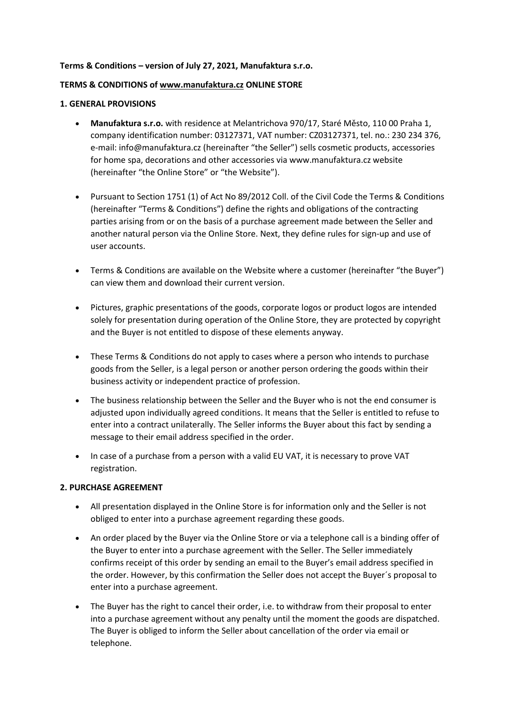#### **Terms & Conditions – version of July 27, 2021, Manufaktura s.r.o.**

### **TERMS & CONDITIONS of [www.manufaktura.cz](http://www.manufaktura.cz/) ONLINE STORE**

#### **1. GENERAL PROVISIONS**

- **Manufaktura s.r.o.** with residence at Melantrichova 970/17, Staré Město, 110 00 Praha 1, company identification number: 03127371, VAT number: CZ03127371, tel. no.: 230 234 376, e-mail: info@manufaktura.cz (hereinafter "the Seller") sells cosmetic products, accessories for home spa, decorations and other accessories via www.manufaktura.cz website (hereinafter "the Online Store" or "the Website").
- Pursuant to Section 1751 (1) of Act No 89/2012 Coll. of the Civil Code the Terms & Conditions (hereinafter "Terms & Conditions") define the rights and obligations of the contracting parties arising from or on the basis of a purchase agreement made between the Seller and another natural person via the Online Store. Next, they define rules for sign-up and use of user accounts.
- Terms & Conditions are available on the Website where a customer (hereinafter "the Buyer") can view them and download their current version.
- Pictures, graphic presentations of the goods, corporate logos or product logos are intended solely for presentation during operation of the Online Store, they are protected by copyright and the Buyer is not entitled to dispose of these elements anyway.
- These Terms & Conditions do not apply to cases where a person who intends to purchase goods from the Seller, is a legal person or another person ordering the goods within their business activity or independent practice of profession.
- The business relationship between the Seller and the Buyer who is not the end consumer is adjusted upon individually agreed conditions. It means that the Seller is entitled to refuse to enter into a contract unilaterally. The Seller informs the Buyer about this fact by sending a message to their email address specified in the order.
- In case of a purchase from a person with a valid EU VAT, it is necessary to prove VAT registration.

#### **2. PURCHASE AGREEMENT**

- All presentation displayed in the Online Store is for information only and the Seller is not obliged to enter into a purchase agreement regarding these goods.
- An order placed by the Buyer via the Online Store or via a telephone call is a binding offer of the Buyer to enter into a purchase agreement with the Seller. The Seller immediately confirms receipt of this order by sending an email to the Buyer's email address specified in the order. However, by this confirmation the Seller does not accept the Buyer´s proposal to enter into a purchase agreement.
- The Buyer has the right to cancel their order, i.e. to withdraw from their proposal to enter into a purchase agreement without any penalty until the moment the goods are dispatched. The Buyer is obliged to inform the Seller about cancellation of the order via email or telephone.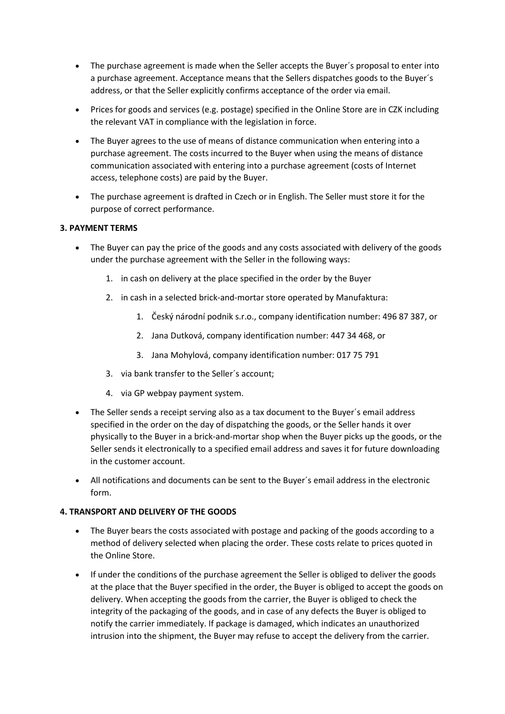- The purchase agreement is made when the Seller accepts the Buyer's proposal to enter into a purchase agreement. Acceptance means that the Sellers dispatches goods to the Buyer´s address, or that the Seller explicitly confirms acceptance of the order via email.
- Prices for goods and services (e.g. postage) specified in the Online Store are in CZK including the relevant VAT in compliance with the legislation in force.
- The Buyer agrees to the use of means of distance communication when entering into a purchase agreement. The costs incurred to the Buyer when using the means of distance communication associated with entering into a purchase agreement (costs of Internet access, telephone costs) are paid by the Buyer.
- The purchase agreement is drafted in Czech or in English. The Seller must store it for the purpose of correct performance.

### **3. PAYMENT TERMS**

- The Buyer can pay the price of the goods and any costs associated with delivery of the goods under the purchase agreement with the Seller in the following ways:
	- 1. in cash on delivery at the place specified in the order by the Buyer
	- 2. in cash in a selected brick-and-mortar store operated by Manufaktura:
		- 1. Český národní podnik s.r.o., company identification number: 496 87 387, or
		- 2. Jana Dutková, company identification number: 447 34 468, or
		- 3. Jana Mohylová, company identification number: 017 75 791
	- 3. via bank transfer to the Seller´s account;
	- 4. via GP webpay payment system.
- The Seller sends a receipt serving also as a tax document to the Buyer´s email address specified in the order on the day of dispatching the goods, or the Seller hands it over physically to the Buyer in a brick-and-mortar shop when the Buyer picks up the goods, or the Seller sends it electronically to a specified email address and saves it for future downloading in the customer account.
- All notifications and documents can be sent to the Buyer´s email address in the electronic form.

#### **4. TRANSPORT AND DELIVERY OF THE GOODS**

- The Buyer bears the costs associated with postage and packing of the goods according to a method of delivery selected when placing the order. These costs relate to prices quoted in the Online Store.
- If under the conditions of the purchase agreement the Seller is obliged to deliver the goods at the place that the Buyer specified in the order, the Buyer is obliged to accept the goods on delivery. When accepting the goods from the carrier, the Buyer is obliged to check the integrity of the packaging of the goods, and in case of any defects the Buyer is obliged to notify the carrier immediately. If package is damaged, which indicates an unauthorized intrusion into the shipment, the Buyer may refuse to accept the delivery from the carrier.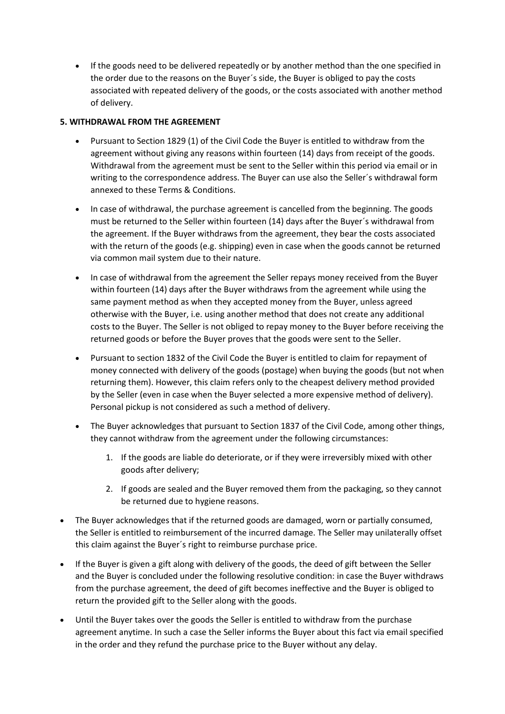If the goods need to be delivered repeatedly or by another method than the one specified in the order due to the reasons on the Buyer´s side, the Buyer is obliged to pay the costs associated with repeated delivery of the goods, or the costs associated with another method of delivery.

# **5. WITHDRAWAL FROM THE AGREEMENT**

- Pursuant to Section 1829 (1) of the Civil Code the Buyer is entitled to withdraw from the agreement without giving any reasons within fourteen (14) days from receipt of the goods. Withdrawal from the agreement must be sent to the Seller within this period via email or in writing to the correspondence address. The Buyer can use also the Seller´s withdrawal form annexed to these Terms & Conditions.
- In case of withdrawal, the purchase agreement is cancelled from the beginning. The goods must be returned to the Seller within fourteen (14) days after the Buyer´s withdrawal from the agreement. If the Buyer withdraws from the agreement, they bear the costs associated with the return of the goods (e.g. shipping) even in case when the goods cannot be returned via common mail system due to their nature.
- In case of withdrawal from the agreement the Seller repays money received from the Buyer within fourteen (14) days after the Buyer withdraws from the agreement while using the same payment method as when they accepted money from the Buyer, unless agreed otherwise with the Buyer, i.e. using another method that does not create any additional costs to the Buyer. The Seller is not obliged to repay money to the Buyer before receiving the returned goods or before the Buyer proves that the goods were sent to the Seller.
- Pursuant to section 1832 of the Civil Code the Buyer is entitled to claim for repayment of money connected with delivery of the goods (postage) when buying the goods (but not when returning them). However, this claim refers only to the cheapest delivery method provided by the Seller (even in case when the Buyer selected a more expensive method of delivery). Personal pickup is not considered as such a method of delivery.
- The Buyer acknowledges that pursuant to Section 1837 of the Civil Code, among other things, they cannot withdraw from the agreement under the following circumstances:
	- 1. If the goods are liable do deteriorate, or if they were irreversibly mixed with other goods after delivery;
	- 2. If goods are sealed and the Buyer removed them from the packaging, so they cannot be returned due to hygiene reasons.
- The Buyer acknowledges that if the returned goods are damaged, worn or partially consumed, the Seller is entitled to reimbursement of the incurred damage. The Seller may unilaterally offset this claim against the Buyer´s right to reimburse purchase price.
- If the Buyer is given a gift along with delivery of the goods, the deed of gift between the Seller and the Buyer is concluded under the following resolutive condition: in case the Buyer withdraws from the purchase agreement, the deed of gift becomes ineffective and the Buyer is obliged to return the provided gift to the Seller along with the goods.
- Until the Buyer takes over the goods the Seller is entitled to withdraw from the purchase agreement anytime. In such a case the Seller informs the Buyer about this fact via email specified in the order and they refund the purchase price to the Buyer without any delay.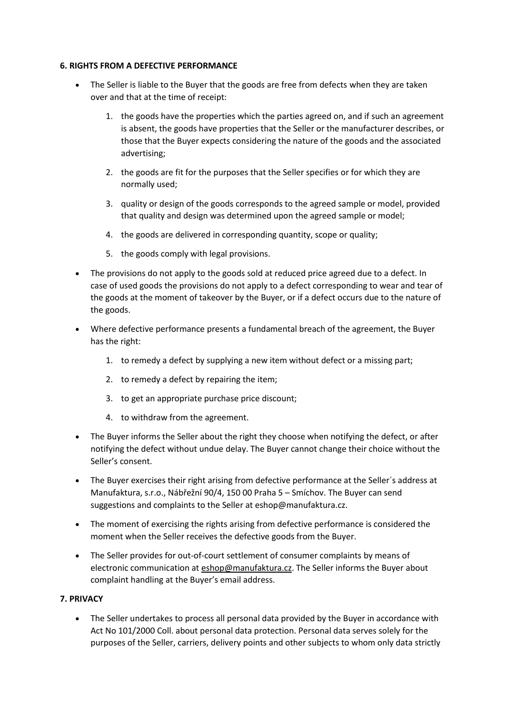#### **6. RIGHTS FROM A DEFECTIVE PERFORMANCE**

- The Seller is liable to the Buyer that the goods are free from defects when they are taken over and that at the time of receipt:
	- 1. the goods have the properties which the parties agreed on, and if such an agreement is absent, the goods have properties that the Seller or the manufacturer describes, or those that the Buyer expects considering the nature of the goods and the associated advertising;
	- 2. the goods are fit for the purposes that the Seller specifies or for which they are normally used;
	- 3. quality or design of the goods corresponds to the agreed sample or model, provided that quality and design was determined upon the agreed sample or model;
	- 4. the goods are delivered in corresponding quantity, scope or quality;
	- 5. the goods comply with legal provisions.
- The provisions do not apply to the goods sold at reduced price agreed due to a defect. In case of used goods the provisions do not apply to a defect corresponding to wear and tear of the goods at the moment of takeover by the Buyer, or if a defect occurs due to the nature of the goods.
- Where defective performance presents a fundamental breach of the agreement, the Buyer has the right:
	- 1. to remedy a defect by supplying a new item without defect or a missing part;
	- 2. to remedy a defect by repairing the item;
	- 3. to get an appropriate purchase price discount;
	- 4. to withdraw from the agreement.
- The Buyer informs the Seller about the right they choose when notifying the defect, or after notifying the defect without undue delay. The Buyer cannot change their choice without the Seller's consent.
- The Buyer exercises their right arising from defective performance at the Seller´s address at Manufaktura, s.r.o., Nábřežní 90/4, 150 00 Praha 5 – Smíchov. The Buyer can send suggestions and complaints to the Seller at eshop@manufaktura.cz.
- The moment of exercising the rights arising from defective performance is considered the moment when the Seller receives the defective goods from the Buyer.
- The Seller provides for out-of-court settlement of consumer complaints by means of electronic communication at [eshop@manufaktura.cz.](mailto:eshop@manufaktura.cz) The Seller informs the Buyer about complaint handling at the Buyer's email address.

# **7. PRIVACY**

 The Seller undertakes to process all personal data provided by the Buyer in accordance with Act No 101/2000 Coll. about personal data protection. Personal data serves solely for the purposes of the Seller, carriers, delivery points and other subjects to whom only data strictly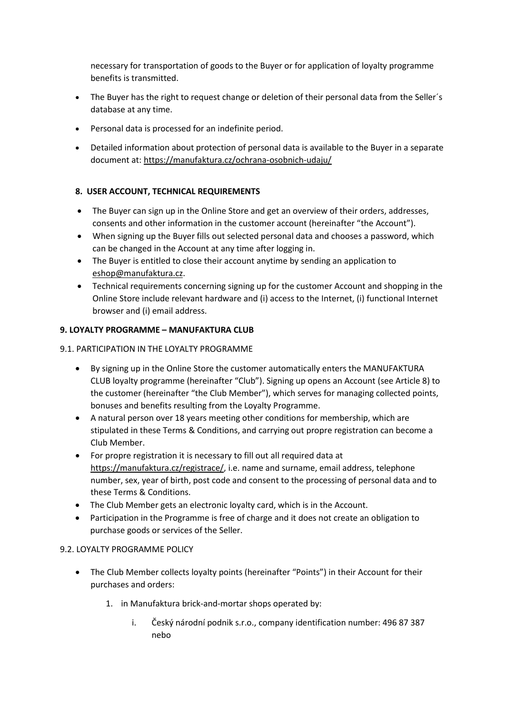necessary for transportation of goods to the Buyer or for application of loyalty programme benefits is transmitted.

- The Buyer has the right to request change or deletion of their personal data from the Seller's database at any time.
- Personal data is processed for an indefinite period.
- Detailed information about protection of personal data is available to the Buyer in a separate document at: <https://manufaktura.cz/ochrana-osobnich-udaju/>

# **8. USER ACCOUNT, TECHNICAL REQUIREMENTS**

- The Buyer can sign up in the Online Store and get an overview of their orders, addresses, consents and other information in the customer account (hereinafter "the Account").
- When signing up the Buyer fills out selected personal data and chooses a password, which can be changed in the Account at any time after logging in.
- The Buyer is entitled to close their account anytime by sending an application to [eshop@manufaktura.cz.](mailto:eshop@manufaktura.cz)
- Technical requirements concerning signing up for the customer Account and shopping in the Online Store include relevant hardware and (i) access to the Internet, (i) functional Internet browser and (i) email address.

# **9. LOYALTY PROGRAMME – MANUFAKTURA CLUB**

# 9.1. PARTICIPATION IN THE LOYALTY PROGRAMME

- By signing up in the Online Store the customer automatically enters the MANUFAKTURA CLUB loyalty programme (hereinafter "Club"). Signing up opens an Account (see Article 8) to the customer (hereinafter "the Club Member"), which serves for managing collected points, bonuses and benefits resulting from the Loyalty Programme.
- A natural person over 18 years meeting other conditions for membership, which are stipulated in these Terms & Conditions, and carrying out propre registration can become a Club Member.
- For propre registration it is necessary to fill out all required data at [https://manufaktura.cz/registrace/,](https://manufaktura.cz/registrace/) i.e. name and surname, email address, telephone number, sex, year of birth, post code and consent to the processing of personal data and to these Terms & Conditions.
- The Club Member gets an electronic loyalty card, which is in the Account.
- Participation in the Programme is free of charge and it does not create an obligation to purchase goods or services of the Seller.

# 9.2. LOYALTY PROGRAMME POLICY

- The Club Member collects loyalty points (hereinafter "Points") in their Account for their purchases and orders:
	- 1. in Manufaktura brick-and-mortar shops operated by:
		- i. Český národní podnik s.r.o., company identification number: 496 87 387 nebo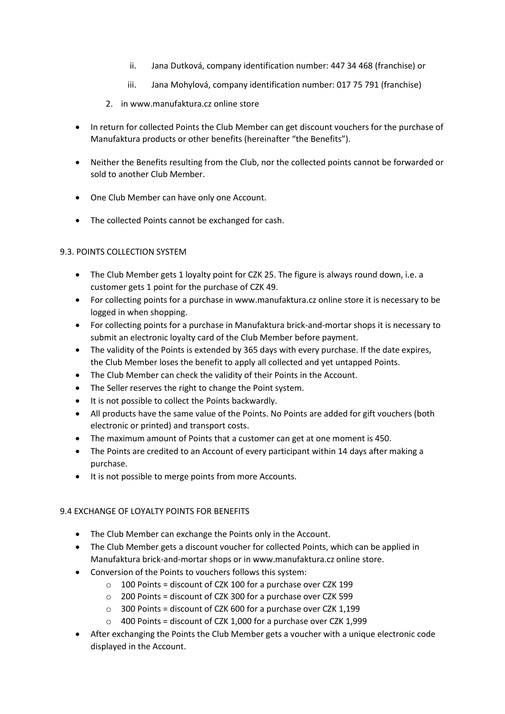- ii. Jana Dutková, company identification number: 447 34 468 (franchise) or
- iii. Jana Mohylová, company identification number: 017 75 791 (franchise)
- 2. in www.manufaktura.cz online store
- In return for collected Points the Club Member can get discount vouchers for the purchase of Manufaktura products or other benefits (hereinafter "the Benefits").
- Neither the Benefits resulting from the Club, nor the collected points cannot be forwarded or sold to another Club Member.
- One Club Member can have only one Account.
- The collected Points cannot be exchanged for cash.

# 9.3. POINTS COLLECTION SYSTEM

- The Club Member gets 1 loyalty point for CZK 25. The figure is always round down, i.e. a customer gets 1 point for the purchase of CZK 49.
- For collecting points for a purchase in www.manufaktura.cz online store it is necessary to be logged in when shopping.
- For collecting points for a purchase in Manufaktura brick-and-mortar shops it is necessary to submit an electronic loyalty card of the Club Member before payment.
- The validity of the Points is extended by 365 days with every purchase. If the date expires, the Club Member loses the benefit to apply all collected and yet untapped Points.
- The Club Member can check the validity of their Points in the Account.
- The Seller reserves the right to change the Point system.
- It is not possible to collect the Points backwardly.
- All products have the same value of the Points. No Points are added for gift vouchers (both electronic or printed) and transport costs.
- The maximum amount of Points that a customer can get at one moment is 450.
- The Points are credited to an Account of every participant within 14 days after making a purchase.
- It is not possible to merge points from more Accounts.

# 9.4 EXCHANGE OF LOYALTY POINTS FOR BENEFITS

- The Club Member can exchange the Points only in the Account.
- The Club Member gets a discount voucher for collected Points, which can be applied in Manufaktura brick-and-mortar shops or in www.manufaktura.cz online store.
- Conversion of the Points to vouchers follows this system:
	- o 100 Points = discount of CZK 100 for a purchase over CZK 199
	- o 200 Points = discount of CZK 300 for a purchase over CZK 599
	- $\circ$  300 Points = discount of CZK 600 for a purchase over CZK 1.199
	- $\circ$  400 Points = discount of CZK 1,000 for a purchase over CZK 1,999
- After exchanging the Points the Club Member gets a voucher with a unique electronic code displayed in the Account.